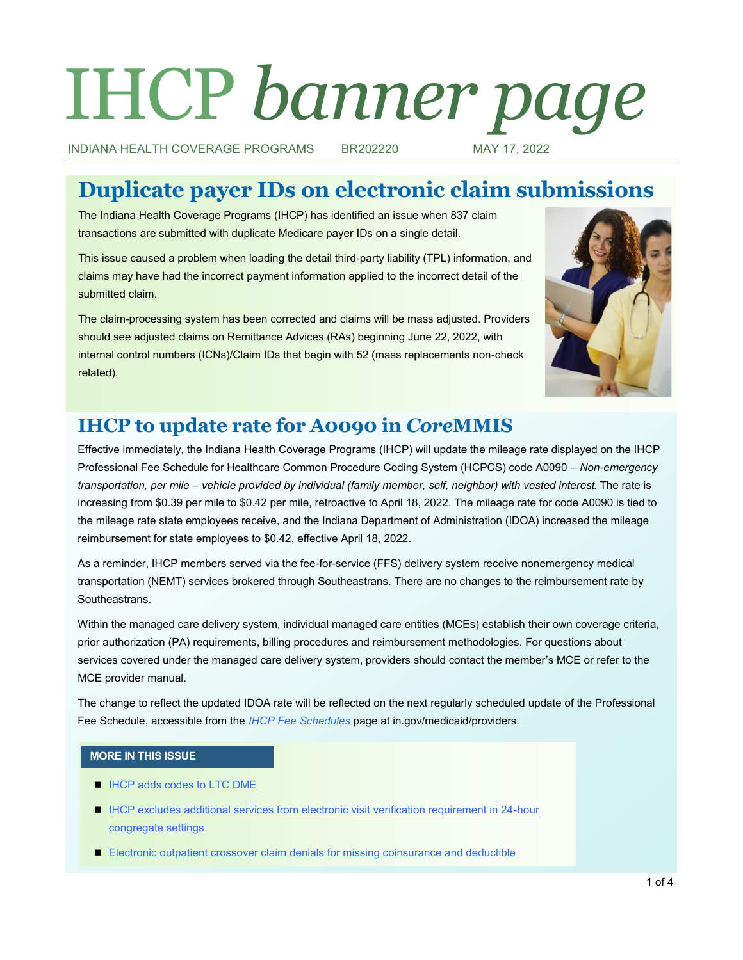# IHCP *banner page*

INDIANA HEALTH COVERAGE PROGRAMS BR202220 MAY 17, 2022

# **Duplicate payer IDs on electronic claim submissions**

The Indiana Health Coverage Programs (IHCP) has identified an issue when 837 claim transactions are submitted with duplicate Medicare payer IDs on a single detail.

This issue caused a problem when loading the detail third-party liability (TPL) information, and claims may have had the incorrect payment information applied to the incorrect detail of the submitted claim.

The claim-processing system has been corrected and claims will be mass adjusted. Providers should see adjusted claims on Remittance Advices (RAs) beginning June 22, 2022, with internal control numbers (ICNs)/Claim IDs that begin with 52 (mass replacements non-check related).



# **IHCP to update rate for A0090 in** *Core***MMIS**

Effective immediately, the Indiana Health Coverage Programs (IHCP) will update the mileage rate displayed on the IHCP Professional Fee Schedule for Healthcare Common Procedure Coding System (HCPCS) code A0090 *– Non-emergency transportation, per mile – vehicle provided by individual (family member, self, neighbor) with vested interest*. The rate is increasing from \$0.39 per mile to \$0.42 per mile, retroactive to April 18, 2022. The mileage rate for code A0090 is tied to the mileage rate state employees receive, and the Indiana Department of Administration (IDOA) increased the mileage reimbursement for state employees to \$0.42, effective April 18, 2022.

As a reminder, IHCP members served via the fee-for-service (FFS) delivery system receive nonemergency medical transportation (NEMT) services brokered through Southeastrans. There are no changes to the reimbursement rate by Southeastrans.

Within the managed care delivery system, individual managed care entities (MCEs) establish their own coverage criteria, prior authorization (PA) requirements, billing procedures and reimbursement methodologies. For questions about services covered under the managed care delivery system, providers should contact the member's MCE or refer to the MCE provider manual.

The change to reflect the updated IDOA rate will be reflected on the next regularly scheduled update of the Professional Fee Schedule, accessible from the *[IHCP Fee Schedules](https://www.in.gov/medicaid/providers/business-transactions/billing-and-remittance/ihcp-fee-schedules/)* page at in.gov/medicaid/providers.

#### **MORE IN THIS ISSUE**

- [IHCP adds codes to LTC DME](#page-1-0)
- [IHCP excludes additional services from electronic visit verification requirement in 24](#page-1-0)-hour [congregate settings](#page-1-0)
- [Electronic outpatient crossover claim denials for missing coinsurance and deductible](#page-3-0)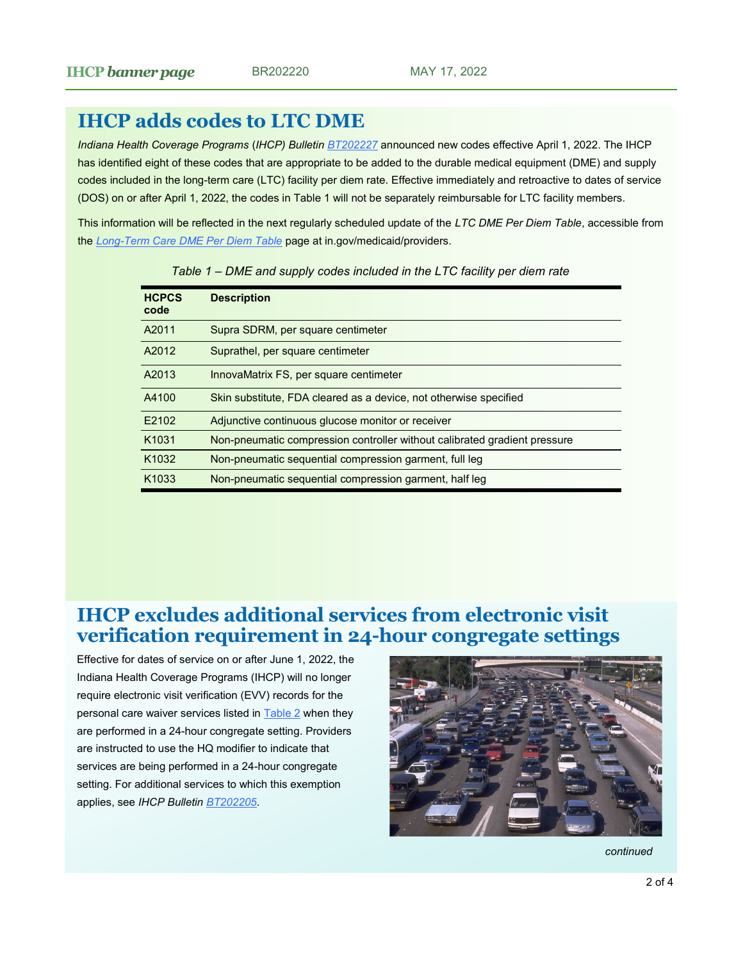# <span id="page-1-0"></span>**IHCP adds codes to LTC DME**

*Indiana Health Coverage Programs* (*IHCP) Bulletin [BT202227](http://provider.indianamedicaid.com/ihcp/Bulletins/BT202227.pdf)* announced new codes effective April 1, 2022. The IHCP has identified eight of these codes that are appropriate to be added to the durable medical equipment (DME) and supply codes included in the long-term care (LTC) facility per diem rate. Effective immediately and retroactive to dates of service (DOS) on or after April 1, 2022, the codes in Table 1 will not be separately reimbursable for LTC facility members.

This information will be reflected in the next regularly scheduled update of the *LTC DME Per Diem Table*, accessible from the *Long-[Term Care DME Per Diem Table](https://www.in.gov/medicaid/providers/business-transactions/billing-and-remittance/long-term-care-dme-per-diem-table/)* page at in.gov/medicaid/providers.

| <b>Description</b>                                                        |
|---------------------------------------------------------------------------|
| Supra SDRM, per square centimeter                                         |
| Suprathel, per square centimeter                                          |
| InnovaMatrix FS, per square centimeter                                    |
| Skin substitute. FDA cleared as a device, not otherwise specified         |
| Adjunctive continuous glucose monitor or receiver                         |
| Non-pneumatic compression controller without calibrated gradient pressure |
| Non-pneumatic sequential compression garment, full leg                    |
| Non-pneumatic sequential compression garment, half leg                    |
|                                                                           |

| Table 1 – DME and supply codes included in the LTC facility per diem rate |  |  |  |
|---------------------------------------------------------------------------|--|--|--|
|---------------------------------------------------------------------------|--|--|--|

### **IHCP excludes additional services from electronic visit verification requirement in 24-hour congregate settings**

Effective for dates of service on or after June 1, 2022, the Indiana Health Coverage Programs (IHCP) will no longer require electronic visit verification (EVV) records for the personal care waiver services listed in **[Table 2](#page-2-0)** when they are performed in a 24-hour congregate setting. Providers are instructed to use the HQ modifier to indicate that services are being performed in a 24-hour congregate setting. For additional services to which this exemption applies, see *IHCP Bulletin [BT202205](http://provider.indianamedicaid.com/ihcp/Bulletins/BT202205.pdf)*.



*continued*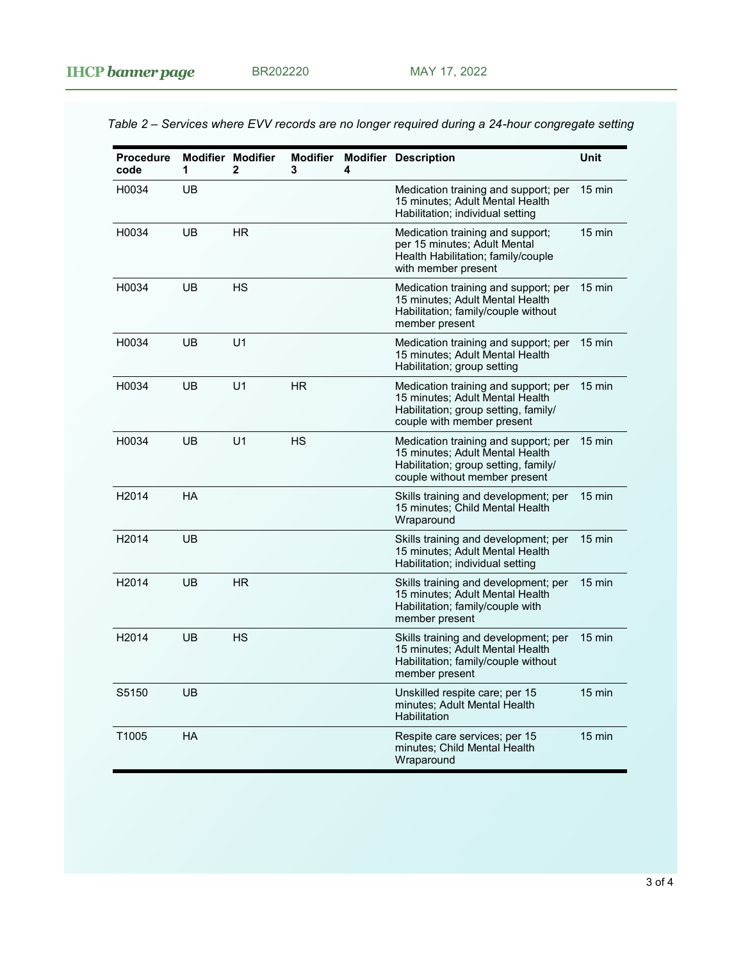minutes; Child Mental Health

**Wraparound** 

**Procedure code Modifier Modifier 1 2 Modifier 3 Modifier Description Unit 4** H0034 UB Medication training and support; per 15 minutes; Adult Mental Health Habilitation; individual setting 15 min H0034 UB HR Medication training and support; per 15 minutes; Adult Mental Health Habilitation; family/couple with member present 15 min H0034 UB HS Medication training and support; per 15 min 15 minutes; Adult Mental Health Habilitation; family/couple without member present H0034 UB U1 Medication training and support; per 15 minutes; Adult Mental Health Habilitation; group setting 15 min H0034 UB U1 HR Medication training and support; per 15 minutes; Adult Mental Health Habilitation; group setting, family/ couple with member present 15 min H0034 UB U1 HS Medication training and support; per 15 minutes; Adult Mental Health Habilitation; group setting, family/ couple without member present 15 min H2014 HA Skills training and development; per 15 minutes; Child Mental Health Wraparound 15 min H2014 UB CHE SKILLS TRAINING AND HEAD SKILLS TRAINING AND HEAD OF SKILLS TRAINING AND HEAD OF SKILLS TRAINING AND TRAINING AND TRAINING AND TRAINING AND HEAD OF SKILLS TRAINING AND TRAINING AND TRAINING AND TRAINING AND TR 15 minutes; Adult Mental Health Habilitation; individual setting 15 min H2014 UB HR Skills training and development; per 15 minutes; Adult Mental Health Habilitation; family/couple with member present 15 min H2014 UB HS Skills training and development; per 15 minutes; Adult Mental Health Habilitation; family/couple without member present 15 min S5150 UB Unskilled respite care; per 15 minutes; Adult Mental Health **Habilitation** 15 min T1005 HA Respite care services; per 15 15 min

<span id="page-2-0"></span>*Table 2 – Services where EVV records are no longer required during a 24-hour congregate setting*